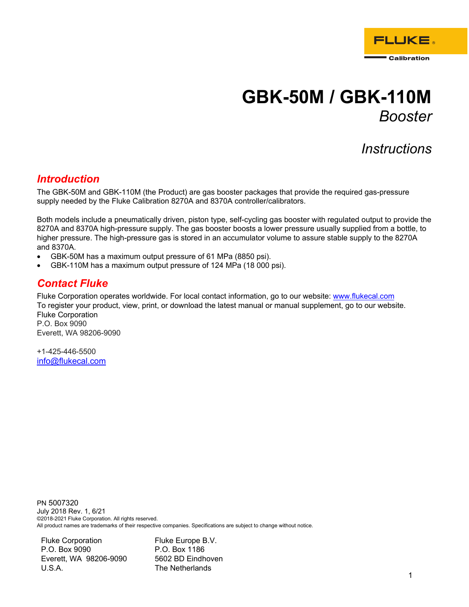

# **GBK-50M / GBK-110M**  *Booster*

# *Instructions*

# *Introduction*

The GBK-50M and GBK-110M (the Product) are gas booster packages that provide the required gas-pressure supply needed by the Fluke Calibration 8270A and 8370A controller/calibrators.

Both models include a pneumatically driven, piston type, self-cycling gas booster with regulated output to provide the 8270A and 8370A high-pressure supply. The gas booster boosts a lower pressure usually supplied from a bottle, to higher pressure. The high-pressure gas is stored in an accumulator volume to assure stable supply to the 8270A and 8370A.

- GBK-50M has a maximum output pressure of 61 MPa (8850 psi).
- GBK-110M has a maximum output pressure of 124 MPa (18 000 psi).

# *Contact Fluke*

Fluke Corporation operates worldwide. For local contact information, go to our website: www.flukecal.com To register your product, view, print, or download the latest manual or manual supplement, go to our website. Fluke Corporation P.O. Box 9090

Everett, WA 98206-9090

+1-425-446-5500 info@flukecal.com

PN 5007320 July 2018 Rev. 1, 6/21 ©2018-2021 Fluke Corporation. All rights reserved. All product names are trademarks of their respective companies. Specifications are subject to change without notice.

Fluke Corporation P.O. Box 9090 Everett, WA 98206-9090 U.S.A. 1

Fluke Europe B.V. P.O. Box 1186 5602 BD Eindhoven The Netherlands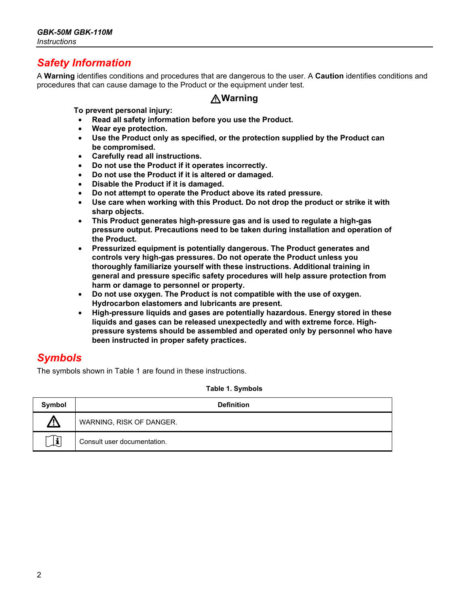# *Safety Information*

A **Warning** identifies conditions and procedures that are dangerous to the user. A **Caution** identifies conditions and procedures that can cause damage to the Product or the equipment under test.

## W**Warning**

**To prevent personal injury:** 

- **Read all safety information before you use the Product.**
- **Wear eye protection.**
- **Use the Product only as specified, or the protection supplied by the Product can be compromised.**
- **Carefully read all instructions.**
- **Do not use the Product if it operates incorrectly.**
- **Do not use the Product if it is altered or damaged.**
- **Disable the Product if it is damaged.**
- **Do not attempt to operate the Product above its rated pressure.**
- **Use care when working with this Product. Do not drop the product or strike it with sharp objects.**
- **This Product generates high-pressure gas and is used to regulate a high-gas pressure output. Precautions need to be taken during installation and operation of the Product.**
- **Pressurized equipment is potentially dangerous. The Product generates and controls very high-gas pressures. Do not operate the Product unless you thoroughly familiarize yourself with these instructions. Additional training in general and pressure specific safety procedures will help assure protection from harm or damage to personnel or property.**
- **Do not use oxygen. The Product is not compatible with the use of oxygen. Hydrocarbon elastomers and lubricants are present.**
- **High-pressure liquids and gases are potentially hazardous. Energy stored in these liquids and gases can be released unexpectedly and with extreme force. Highpressure systems should be assembled and operated only by personnel who have been instructed in proper safety practices.**

# *Symbols*

The symbols shown in Table 1 are found in these instructions.

| Symbol     | <b>Definition</b>           |  |  |
|------------|-----------------------------|--|--|
| <u>/!/</u> | WARNING, RISK OF DANGER.    |  |  |
|            | Consult user documentation. |  |  |

**Table 1. Symbols**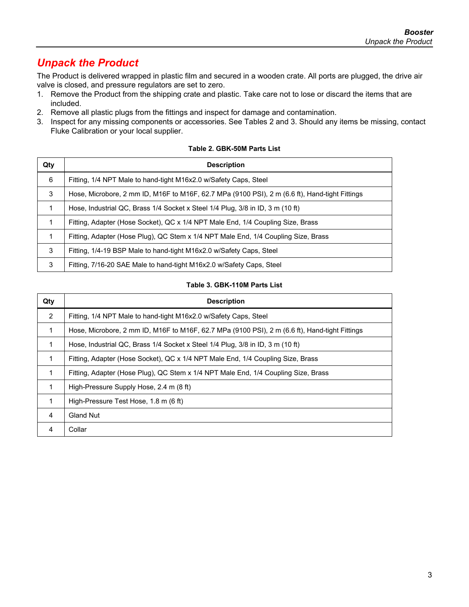# *Unpack the Product*

The Product is delivered wrapped in plastic film and secured in a wooden crate. All ports are plugged, the drive air valve is closed, and pressure regulators are set to zero.

- 1. Remove the Product from the shipping crate and plastic. Take care not to lose or discard the items that are included.
- 2. Remove all plastic plugs from the fittings and inspect for damage and contamination.
- 3. Inspect for any missing components or accessories. See Tables 2 and 3. Should any items be missing, contact Fluke Calibration or your local supplier.

| Qty | <b>Description</b>                                                                             |
|-----|------------------------------------------------------------------------------------------------|
| 6   | Fitting, 1/4 NPT Male to hand-tight M16x2.0 w/Safety Caps, Steel                               |
| 3   | Hose, Microbore, 2 mm ID, M16F to M16F, 62.7 MPa (9100 PSI), 2 m (6.6 ft), Hand-tight Fittings |
| 1   | Hose, Industrial QC, Brass 1/4 Socket x Steel 1/4 Plug, 3/8 in ID, 3 m (10 ft)                 |
| 1   | Fitting, Adapter (Hose Socket), QC x 1/4 NPT Male End, 1/4 Coupling Size, Brass                |
| 1   | Fitting, Adapter (Hose Plug), QC Stem x 1/4 NPT Male End, 1/4 Coupling Size, Brass             |
| 3   | Fitting, 1/4-19 BSP Male to hand-tight M16x2.0 w/Safety Caps, Steel                            |
| 3   | Fitting, 7/16-20 SAE Male to hand-tight M16x2.0 w/Safety Caps, Steel                           |

#### **Table 2. GBK-50M Parts List**

### **Table 3. GBK-110M Parts List**

| Qty            | <b>Description</b>                                                                             |
|----------------|------------------------------------------------------------------------------------------------|
| 2              | Fitting, 1/4 NPT Male to hand-tight M16x2.0 w/Safety Caps, Steel                               |
| 1              | Hose, Microbore, 2 mm ID, M16F to M16F, 62.7 MPa (9100 PSI), 2 m (6.6 ft), Hand-tight Fittings |
| 1              | Hose, Industrial QC, Brass 1/4 Socket x Steel 1/4 Plug, 3/8 in ID, 3 m (10 ft)                 |
| $\mathbf{1}$   | Fitting, Adapter (Hose Socket), QC x 1/4 NPT Male End, 1/4 Coupling Size, Brass                |
| $\mathbf{1}$   | Fitting, Adapter (Hose Plug), QC Stem x 1/4 NPT Male End, 1/4 Coupling Size, Brass             |
| $\mathbf{1}$   | High-Pressure Supply Hose, 2.4 m (8 ft)                                                        |
| $\mathbf{1}$   | High-Pressure Test Hose, 1.8 m (6 ft)                                                          |
| $\overline{4}$ | <b>Gland Nut</b>                                                                               |
| 4              | Collar                                                                                         |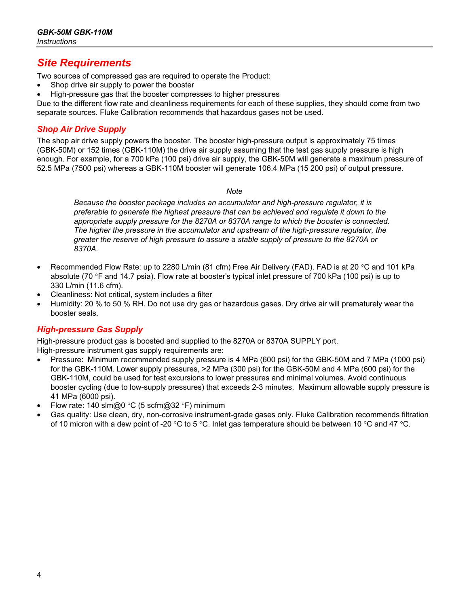# *Site Requirements*

Two sources of compressed gas are required to operate the Product:

- Shop drive air supply to power the booster
- High-pressure gas that the booster compresses to higher pressures

Due to the different flow rate and cleanliness requirements for each of these supplies, they should come from two separate sources. Fluke Calibration recommends that hazardous gases not be used.

### *Shop Air Drive Supply*

The shop air drive supply powers the booster. The booster high-pressure output is approximately 75 times (GBK-50M) or 152 times (GBK-110M) the drive air supply assuming that the test gas supply pressure is high enough. For example, for a 700 kPa (100 psi) drive air supply, the GBK-50M will generate a maximum pressure of 52.5 MPa (7500 psi) whereas a GBK-110M booster will generate 106.4 MPa (15 200 psi) of output pressure.

#### *Note*

*Because the booster package includes an accumulator and high-pressure regulator, it is preferable to generate the highest pressure that can be achieved and regulate it down to the appropriate supply pressure for the 8270A or 8370A range to which the booster is connected. The higher the pressure in the accumulator and upstream of the high-pressure regulator, the greater the reserve of high pressure to assure a stable supply of pressure to the 8270A or 8370A.* 

- Recommended Flow Rate: up to 2280 L/min (81 cfm) Free Air Delivery (FAD). FAD is at 20 °C and 101 kPa absolute (70 °F and 14.7 psia). Flow rate at booster's typical inlet pressure of 700 kPa (100 psi) is up to 330 L/min (11.6 cfm).
- Cleanliness: Not critical, system includes a filter
- Humidity: 20 % to 50 % RH. Do not use dry gas or hazardous gases. Dry drive air will prematurely wear the booster seals.

### *High-pressure Gas Supply*

High-pressure product gas is boosted and supplied to the 8270A or 8370A SUPPLY port. High-pressure instrument gas supply requirements are:

- Pressure: Minimum recommended supply pressure is 4 MPa (600 psi) for the GBK-50M and 7 MPa (1000 psi) for the GBK-110M. Lower supply pressures, >2 MPa (300 psi) for the GBK-50M and 4 MPa (600 psi) for the GBK-110M, could be used for test excursions to lower pressures and minimal volumes. Avoid continuous booster cycling (due to low-supply pressures) that exceeds 2-3 minutes. Maximum allowable supply pressure is 41 MPa (6000 psi).
- Flow rate: 140 slm@0 °C (5 scfm@32 °F) minimum
- Gas quality: Use clean, dry, non-corrosive instrument-grade gases only. Fluke Calibration recommends filtration of 10 micron with a dew point of -20 °C to 5 °C. Inlet gas temperature should be between 10 °C and 47 °C.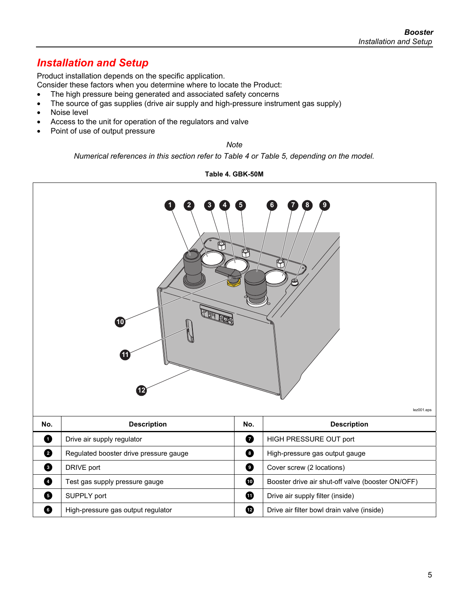# *Installation and Setup*

Product installation depends on the specific application.

Consider these factors when you determine where to locate the Product:

- The high pressure being generated and associated safety concerns
- The source of gas supplies (drive air supply and high-pressure instrument gas supply)
- Noise level
- Access to the unit for operation of the regulators and valve
- Point of use of output pressure

*Note* 

*Numerical references in this section refer to Table 4 or Table 5, depending on the model.* 



**Table 4. GBK-50M**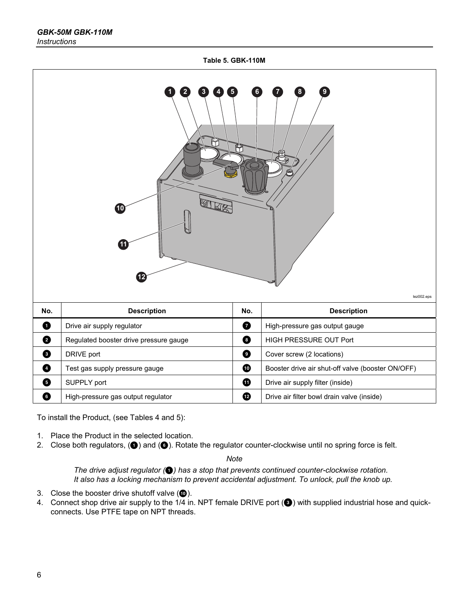**Table 5. GBK-110M** 

|           | 2<br>3<br>(10)<br>41<br>$\overline{12}$ | 5<br>6<br>Ÿ | 9<br>8.<br>lez002.eps                             |
|-----------|-----------------------------------------|-------------|---------------------------------------------------|
| No.       | <b>Description</b>                      | No.         | <b>Description</b>                                |
| $\bullet$ | Drive air supply regulator              | $\bullet$   | High-pressure gas output gauge                    |
| ❹         | Regulated booster drive pressure gauge  | $\bullet$   | HIGH PRESSURE OUT Port                            |
| $\bullet$ | DRIVE port                              | $\bullet$   | Cover screw (2 locations)                         |
| $\bullet$ | Test gas supply pressure gauge          | ❶           | Booster drive air shut-off valve (booster ON/OFF) |
| $\bullet$ | SUPPLY port                             | $\bf \Phi$  | Drive air supply filter (inside)                  |
| ❶         | High-pressure gas output regulator      | ❶           | Drive air filter bowl drain valve (inside)        |

To install the Product, (see Tables 4 and 5):

- 1. Place the Product in the selected location.
- 2. Close both regulators,  $\left( \bigcirc \right)$  and  $\left( \bigcirc \right)$ . Rotate the regulator counter-clockwise until no spring force is felt.

*Note* 

*The drive adjust regulator* ( $\bigcirc$ ) has a stop that prevents continued counter-clockwise rotation. *It also has a locking mechanism to prevent accidental adjustment. To unlock, pull the knob up.* 

- 3. Close the booster drive shutoff valve  $(\bullet)$ .
- 4. Connect shop drive air supply to the 1/4 in. NPT female DRIVE port (<sup>3</sup>) with supplied industrial hose and quickconnects. Use PTFE tape on NPT threads.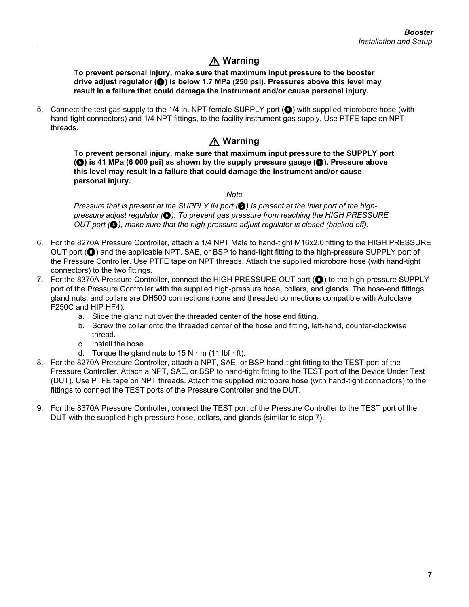# W **Warning**

#### **To prevent personal injury, make sure that maximum input pressure to the booster drive adjust regulator (**A**) is below 1.7 MPa (250 psi). Pressures above this level may result in a failure that could damage the instrument and/or cause personal injury.**

5. Connect the test gas supply to the 1/4 in. NPT female SUPPLY port ( $\bigcirc$ ) with supplied microbore hose (with hand-tight connectors) and 1/4 NPT fittings, to the facility instrument gas supply. Use PTFE tape on NPT threads.

# W **Warning**

**To prevent personal injury, make sure that maximum input pressure to the SUPPLY port (**E**) is 41 MPa (6 000 psi) as shown by the supply pressure gauge (**D**). Pressure above this level may result in a failure that could damage the instrument and/or cause personal injury.** 

*Note* 

**Pressure that is present at the SUPPLY IN port (** $\bigodot$ **) is present at the inlet port of the high***pressure adjust regulator (*F*). To prevent gas pressure from reaching the HIGH PRESSURE OUT port (* $\odot$ *), make sure that the high-pressure adjust regulator is closed (backed off).* 

- 6. For the 8270A Pressure Controller, attach a 1/4 NPT Male to hand-tight M16x2.0 fitting to the HIGH PRESSURE OUT port ( $\odot$ ) and the applicable NPT, SAE, or BSP to hand-tight fitting to the high-pressure SUPPLY port of the Pressure Controller. Use PTFE tape on NPT threads. Attach the supplied microbore hose (with hand-tight connectors) to the two fittings.
- 7. For the 8370A Pressure Controller, connect the HIGH PRESSURE OUT port (<sup>4</sup>) to the high-pressure SUPPLY port of the Pressure Controller with the supplied high-pressure hose, collars, and glands. The hose-end fittings, gland nuts, and collars are DH500 connections (cone and threaded connections compatible with Autoclave F250C and HIP HF4).
	- a. Slide the gland nut over the threaded center of the hose end fitting.
	- b. Screw the collar onto the threaded center of the hose end fitting, left-hand, counter-clockwise thread.
	- c. Install the hose.
	- d. Torque the gland nuts to  $15 N \cdot m$  (11 lbf  $\cdot$  ft).
- 8. For the 8270A Pressure Controller, attach a NPT, SAE, or BSP hand-tight fitting to the TEST port of the Pressure Controller. Attach a NPT, SAE, or BSP to hand-tight fitting to the TEST port of the Device Under Test (DUT). Use PTFE tape on NPT threads. Attach the supplied microbore hose (with hand-tight connectors) to the fittings to connect the TEST ports of the Pressure Controller and the DUT.
- 9. For the 8370A Pressure Controller, connect the TEST port of the Pressure Controller to the TEST port of the DUT with the supplied high-pressure hose, collars, and glands (similar to step 7).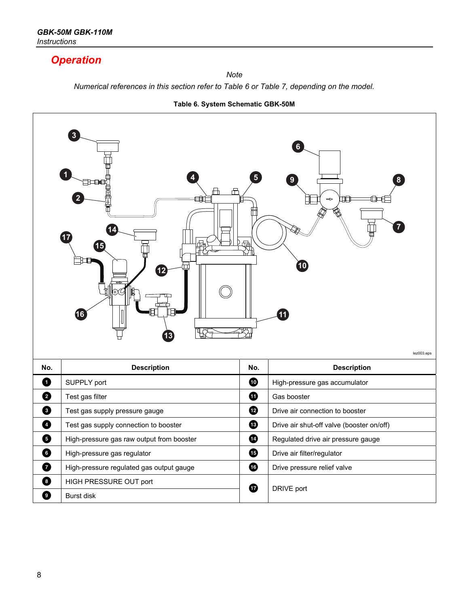# *Operation*

*Note* 

*Numerical references in this section refer to Table 6 or Table 7, depending on the model.* 



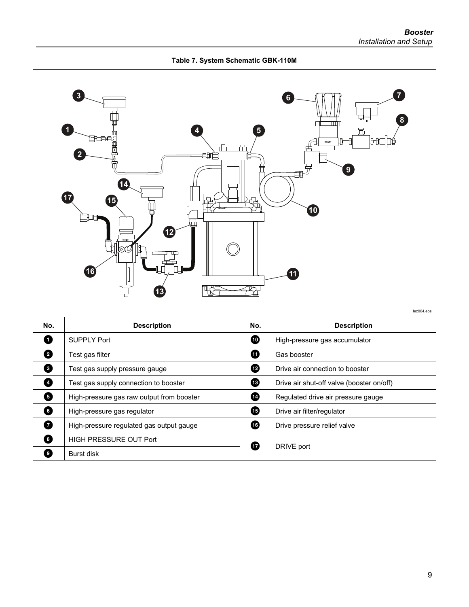

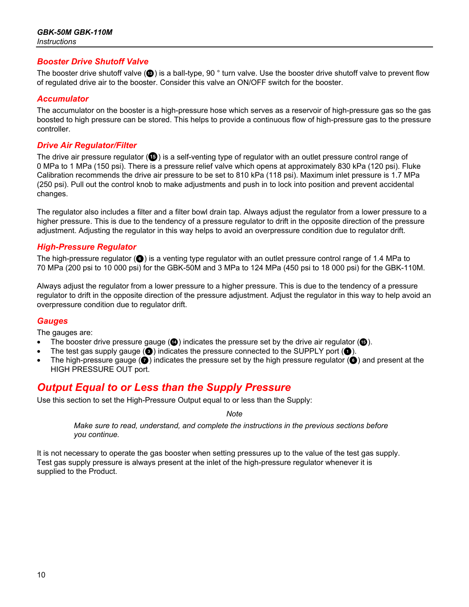### *Booster Drive Shutoff Valve*

The booster drive shutoff valve ( $\bullet$ ) is a ball-type, 90  $\degree$  turn valve. Use the booster drive shutoff valve to prevent flow of regulated drive air to the booster. Consider this valve an ON/OFF switch for the booster.

#### *Accumulator*

The accumulator on the booster is a high-pressure hose which serves as a reservoir of high-pressure gas so the gas boosted to high pressure can be stored. This helps to provide a continuous flow of high-pressure gas to the pressure controller.

### *Drive Air Regulator/Filter*

The drive air pressure regulator ( $\bigcirc$ ) is a self-venting type of regulator with an outlet pressure control range of 0 MPa to 1 MPa (150 psi). There is a pressure relief valve which opens at approximately 830 kPa (120 psi). Fluke Calibration recommends the drive air pressure to be set to 810 kPa (118 psi). Maximum inlet pressure is 1.7 MPa (250 psi). Pull out the control knob to make adjustments and push in to lock into position and prevent accidental changes.

The regulator also includes a filter and a filter bowl drain tap. Always adjust the regulator from a lower pressure to a higher pressure. This is due to the tendency of a pressure regulator to drift in the opposite direction of the pressure adjustment. Adjusting the regulator in this way helps to avoid an overpressure condition due to regulator drift.

### *High-Pressure Regulator*

The high-pressure regulator  $\circled{e}$  is a venting type regulator with an outlet pressure control range of 1.4 MPa to 70 MPa (200 psi to 10 000 psi) for the GBK-50M and 3 MPa to 124 MPa (450 psi to 18 000 psi) for the GBK-110M.

Always adjust the regulator from a lower pressure to a higher pressure. This is due to the tendency of a pressure regulator to drift in the opposite direction of the pressure adjustment. Adjust the regulator in this way to help avoid an overpressure condition due to regulator drift.

#### *Gauges*

The gauges are:

- The booster drive pressure gauge ( $\circled{a}$ ) indicates the pressure set by the drive air regulator ( $\circled{b}$ ).
- The test gas supply gauge ( $\odot$ ) indicates the pressure connected to the SUPPLY port ( $\odot$ ).
- The high-pressure gauge ( $\odot$ ) indicates the pressure set by the high pressure regulator ( $\odot$ ) and present at the HIGH PRESSURE OUT port.

# *Output Equal to or Less than the Supply Pressure*

Use this section to set the High-Pressure Output equal to or less than the Supply:

*Note* 

*Make sure to read, understand, and complete the instructions in the previous sections before you continue.* 

It is not necessary to operate the gas booster when setting pressures up to the value of the test gas supply. Test gas supply pressure is always present at the inlet of the high-pressure regulator whenever it is supplied to the Product.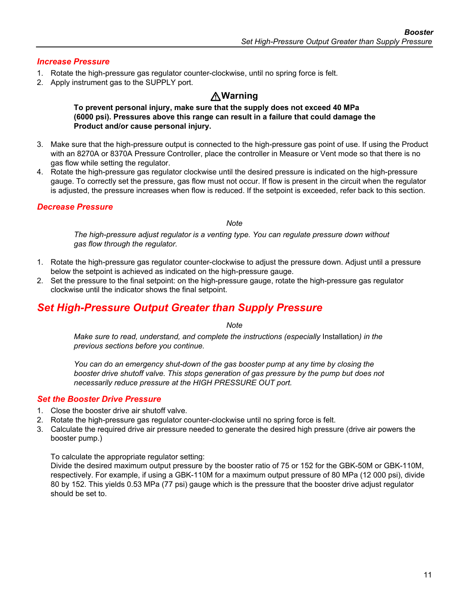### *Increase Pressure*

- 1. Rotate the high-pressure gas regulator counter-clockwise, until no spring force is felt.
- 2. Apply instrument gas to the SUPPLY port.

# W**Warning**

**To prevent personal injury, make sure that the supply does not exceed 40 MPa (6000 psi). Pressures above this range can result in a failure that could damage the Product and/or cause personal injury.** 

- 3. Make sure that the high-pressure output is connected to the high-pressure gas point of use. If using the Product with an 8270A or 8370A Pressure Controller, place the controller in Measure or Vent mode so that there is no gas flow while setting the regulator.
- 4. Rotate the high-pressure gas regulator clockwise until the desired pressure is indicated on the high-pressure gauge. To correctly set the pressure, gas flow must not occur. If flow is present in the circuit when the regulator is adjusted, the pressure increases when flow is reduced. If the setpoint is exceeded, refer back to this section.

### *Decrease Pressure*

#### *Note*

*The high-pressure adjust regulator is a venting type. You can regulate pressure down without gas flow through the regulator.* 

- 1. Rotate the high-pressure gas regulator counter-clockwise to adjust the pressure down. Adjust until a pressure below the setpoint is achieved as indicated on the high-pressure gauge.
- 2. Set the pressure to the final setpoint: on the high-pressure gauge, rotate the high-pressure gas regulator clockwise until the indicator shows the final setpoint.

# *Set High-Pressure Output Greater than Supply Pressure*

*Note* 

*Make sure to read, understand, and complete the instructions (especially* Installation*) in the previous sections before you continue.* 

*You can do an emergency shut-down of the gas booster pump at any time by closing the booster drive shutoff valve. This stops generation of gas pressure by the pump but does not necessarily reduce pressure at the HIGH PRESSURE OUT port.* 

### *Set the Booster Drive Pressure*

- 1. Close the booster drive air shutoff valve.
- 2. Rotate the high-pressure gas regulator counter-clockwise until no spring force is felt.
- 3. Calculate the required drive air pressure needed to generate the desired high pressure (drive air powers the booster pump.)

To calculate the appropriate regulator setting:

Divide the desired maximum output pressure by the booster ratio of 75 or 152 for the GBK-50M or GBK-110M, respectively. For example, if using a GBK-110M for a maximum output pressure of 80 MPa (12 000 psi), divide 80 by 152. This yields 0.53 MPa (77 psi) gauge which is the pressure that the booster drive adjust regulator should be set to.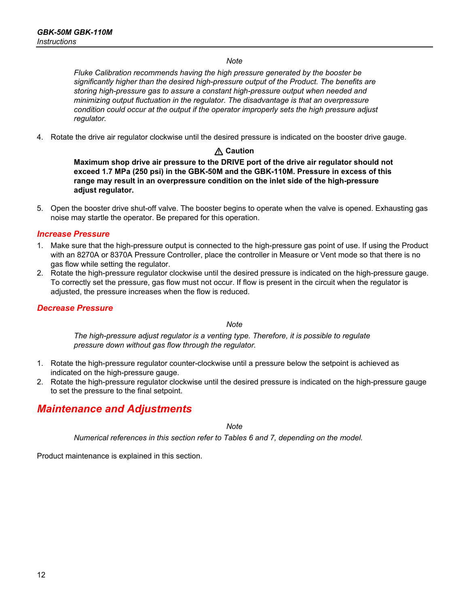#### *Note*

*Fluke Calibration recommends having the high pressure generated by the booster be significantly higher than the desired high-pressure output of the Product. The benefits are storing high-pressure gas to assure a constant high-pressure output when needed and minimizing output fluctuation in the regulator. The disadvantage is that an overpressure condition could occur at the output if the operator improperly sets the high pressure adjust regulator.* 

4. Rotate the drive air regulator clockwise until the desired pressure is indicated on the booster drive gauge.

### W **Caution**

**Maximum shop drive air pressure to the DRIVE port of the drive air regulator should not exceed 1.7 MPa (250 psi) in the GBK-50M and the GBK-110M. Pressure in excess of this range may result in an overpressure condition on the inlet side of the high-pressure adjust regulator.** 

5. Open the booster drive shut-off valve. The booster begins to operate when the valve is opened. Exhausting gas noise may startle the operator. Be prepared for this operation.

### *Increase Pressure*

- 1. Make sure that the high-pressure output is connected to the high-pressure gas point of use. If using the Product with an 8270A or 8370A Pressure Controller, place the controller in Measure or Vent mode so that there is no gas flow while setting the regulator.
- 2. Rotate the high-pressure regulator clockwise until the desired pressure is indicated on the high-pressure gauge. To correctly set the pressure, gas flow must not occur. If flow is present in the circuit when the regulator is adjusted, the pressure increases when the flow is reduced.

### *Decrease Pressure*

*Note* 

*The high-pressure adjust regulator is a venting type. Therefore, it is possible to regulate pressure down without gas flow through the regulator.* 

- 1. Rotate the high-pressure regulator counter-clockwise until a pressure below the setpoint is achieved as indicated on the high-pressure gauge.
- 2. Rotate the high-pressure regulator clockwise until the desired pressure is indicated on the high-pressure gauge to set the pressure to the final setpoint.

# *Maintenance and Adjustments*

*Note* 

*Numerical references in this section refer to Tables 6 and 7, depending on the model.* 

Product maintenance is explained in this section.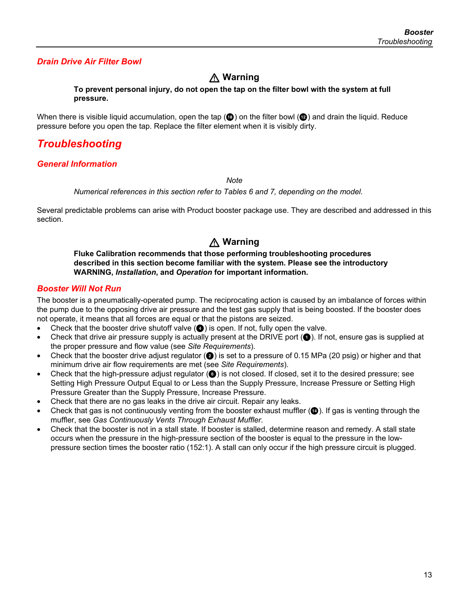### *Drain Drive Air Filter Bowl*

# W **Warning**

**To prevent personal injury, do not open the tap on the filter bowl with the system at full pressure.** 

When there is visible liquid accumulation, open the tap  $(\mathbf{Q})$  on the filter bowl  $(\mathbf{Q})$  and drain the liquid. Reduce pressure before you open the tap. Replace the filter element when it is visibly dirty.

# *Troubleshooting*

### *General Information*

*Note* 

*Numerical references in this section refer to Tables 6 and 7, depending on the model.* 

Several predictable problems can arise with Product booster package use. They are described and addressed in this section.

# W **Warning**

#### **Fluke Calibration recommends that those performing troubleshooting procedures described in this section become familiar with the system. Please see the introductory WARNING,** *Installation***, and** *Operation* **for important information.**

#### *Booster Will Not Run*

The booster is a pneumatically-operated pump. The reciprocating action is caused by an imbalance of forces within the pump due to the opposing drive air pressure and the test gas supply that is being boosted. If the booster does not operate, it means that all forces are equal or that the pistons are seized.

- Check that the booster drive shutoff valve  $\left( \bullet \right)$  is open. If not, fully open the valve.
- Check that drive air pressure supply is actually present at the DRIVE port  $\circled{a}$ ). If not, ensure gas is supplied at the proper pressure and flow value (see *Site Requirements*).
- Check that the booster drive adjust regulator  $\circled{a}$ ) is set to a pressure of 0.15 MPa (20 psig) or higher and that minimum drive air flow requirements are met (see *Site Requirements*).
- Check that the high-pressure adjust regulator  $(\bigcirc)$  is not closed. If closed, set it to the desired pressure; see Setting High Pressure Output Equal to or Less than the Supply Pressure, Increase Pressure or Setting High Pressure Greater than the Supply Pressure, Increase Pressure.
- Check that there are no gas leaks in the drive air circuit. Repair any leaks.
- Check that gas is not continuously venting from the booster exhaust muffler  $(\bullet)$ . If gas is venting through the muffler, see *Gas Continuously Vents Through Exhaust Muffler.*
- Check that the booster is not in a stall state. If booster is stalled, determine reason and remedy. A stall state occurs when the pressure in the high-pressure section of the booster is equal to the pressure in the lowpressure section times the booster ratio (152:1). A stall can only occur if the high pressure circuit is plugged.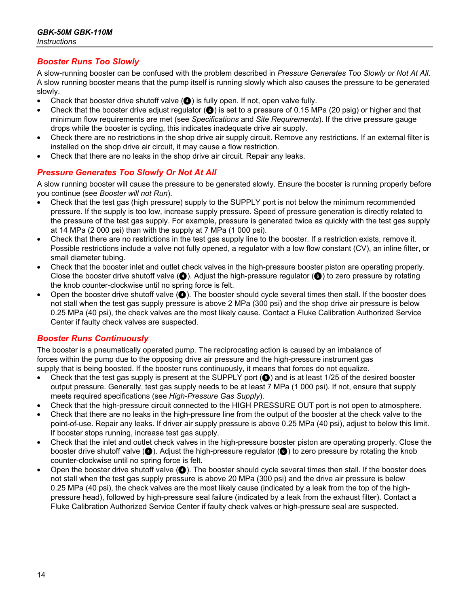### *Booster Runs Too Slowly*

A slow-running booster can be confused with the problem described in *Pressure Generates Too Slowly or Not At All*. A slow running booster means that the pump itself is running slowly which also causes the pressure to be generated slowly.

- Check that booster drive shutoff valve  $\textcircled{a}$ ) is fully open. If not, open valve fully.
- Check that the booster drive adjust regulator  $\odot$  is set to a pressure of 0.15 MPa (20 psig) or higher and that minimum flow requirements are met (see *Specifications* and *Site Requirements*). If the drive pressure gauge drops while the booster is cycling, this indicates inadequate drive air supply.
- Check there are no restrictions in the shop drive air supply circuit. Remove any restrictions. If an external filter is installed on the shop drive air circuit, it may cause a flow restriction.
- Check that there are no leaks in the shop drive air circuit. Repair any leaks.

### *Pressure Generates Too Slowly Or Not At All*

A slow running booster will cause the pressure to be generated slowly. Ensure the booster is running properly before you continue (see *Booster will not Run*).

- Check that the test gas (high pressure) supply to the SUPPLY port is not below the minimum recommended pressure. If the supply is too low, increase supply pressure. Speed of pressure generation is directly related to the pressure of the test gas supply. For example, pressure is generated twice as quickly with the test gas supply at 14 MPa (2 000 psi) than with the supply at 7 MPa (1 000 psi).
- Check that there are no restrictions in the test gas supply line to the booster. If a restriction exists, remove it. Possible restrictions include a valve not fully opened, a regulator with a low flow constant (CV), an inline filter, or small diameter tubing.
- Check that the booster inlet and outlet check valves in the high-pressure booster piston are operating properly. Close the booster drive shutoff valve ( $\bullet$ ). Adjust the high-pressure regulator ( $\bullet$ ) to zero pressure by rotating the knob counter-clockwise until no spring force is felt.
- Open the booster drive shutoff valve  $(\bigcirc)$ . The booster should cycle several times then stall. If the booster does not stall when the test gas supply pressure is above 2 MPa (300 psi) and the shop drive air pressure is below 0.25 MPa (40 psi), the check valves are the most likely cause. Contact a Fluke Calibration Authorized Service Center if faulty check valves are suspected.

### *Booster Runs Continuously*

The booster is a pneumatically operated pump. The reciprocating action is caused by an imbalance of forces within the pump due to the opposing drive air pressure and the high-pressure instrument gas supply that is being boosted. If the booster runs continuously, it means that forces do not equalize.

- Check that the test gas supply is present at the SUPPLY port  $\circled{e}$  and is at least 1/25 of the desired booster output pressure. Generally, test gas supply needs to be at least 7 MPa (1 000 psi). If not, ensure that supply meets required specifications (see *High-Pressure Gas Supply*).
- Check that the high-pressure circuit connected to the HIGH PRESSURE OUT port is not open to atmosphere.
- Check that there are no leaks in the high-pressure line from the output of the booster at the check valve to the point-of-use. Repair any leaks. If driver air supply pressure is above 0.25 MPa (40 psi), adjust to below this limit. If booster stops running, increase test gas supply.
- Check that the inlet and outlet check valves in the high-pressure booster piston are operating properly. Close the booster drive shutoff valve ( $\bullet$ ). Adjust the high-pressure regulator ( $\bullet$ ) to zero pressure by rotating the knob counter-clockwise until no spring force is felt.
- Open the booster drive shutoff valve  $(\bigcirc)$ . The booster should cycle several times then stall. If the booster does not stall when the test gas supply pressure is above 20 MPa (300 psi) and the drive air pressure is below 0.25 MPa (40 psi), the check valves are the most likely cause (indicated by a leak from the top of the highpressure head), followed by high-pressure seal failure (indicated by a leak from the exhaust filter). Contact a Fluke Calibration Authorized Service Center if faulty check valves or high-pressure seal are suspected.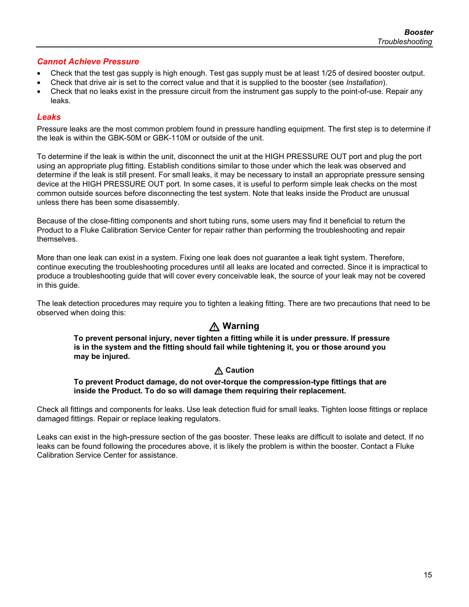### *Cannot Achieve Pressure*

- Check that the test gas supply is high enough. Test gas supply must be at least 1/25 of desired booster output.
- Check that drive air is set to the correct value and that it is supplied to the booster (see *Installation*).
- Check that no leaks exist in the pressure circuit from the instrument gas supply to the point-of-use. Repair any leaks.

### *Leaks*

Pressure leaks are the most common problem found in pressure handling equipment. The first step is to determine if the leak is within the GBK-50M or GBK-110M or outside of the unit.

To determine if the leak is within the unit, disconnect the unit at the HIGH PRESSURE OUT port and plug the port using an appropriate plug fitting. Establish conditions similar to those under which the leak was observed and determine if the leak is still present. For small leaks, it may be necessary to install an appropriate pressure sensing device at the HIGH PRESSURE OUT port. In some cases, it is useful to perform simple leak checks on the most common outside sources before disconnecting the test system. Note that leaks inside the Product are unusual unless there has been some disassembly.

Because of the close-fitting components and short tubing runs, some users may find it beneficial to return the Product to a Fluke Calibration Service Center for repair rather than performing the troubleshooting and repair themselves.

More than one leak can exist in a system. Fixing one leak does not guarantee a leak tight system. Therefore, continue executing the troubleshooting procedures until all leaks are located and corrected. Since it is impractical to produce a troubleshooting guide that will cover every conceivable leak, the source of your leak may not be covered in this guide.

The leak detection procedures may require you to tighten a leaking fitting. There are two precautions that need to be observed when doing this:

# W **Warning**

**To prevent personal injury, never tighten a fitting while it is under pressure. If pressure is in the system and the fitting should fail while tightening it, you or those around you may be injured.** 

### W **Caution**

**To prevent Product damage, do not over-torque the compression-type fittings that are inside the Product. To do so will damage them requiring their replacement.** 

Check all fittings and components for leaks. Use leak detection fluid for small leaks. Tighten loose fittings or replace damaged fittings. Repair or replace leaking regulators.

Leaks can exist in the high-pressure section of the gas booster. These leaks are difficult to isolate and detect. If no leaks can be found following the procedures above, it is likely the problem is within the booster. Contact a Fluke Calibration Service Center for assistance.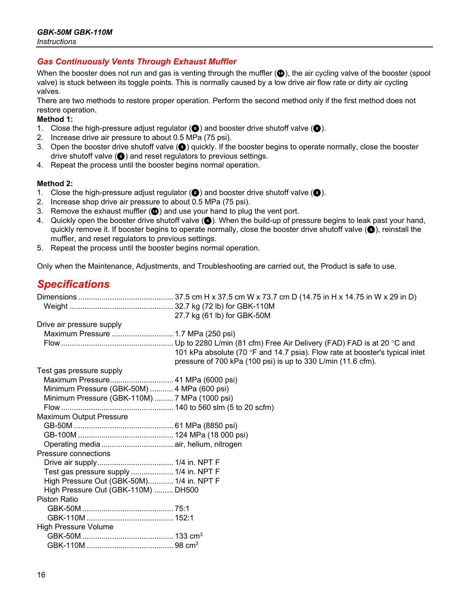### *Gas Continuously Vents Through Exhaust Muffler*

When the booster does not run and gas is venting through the muffler  $(\circled{a})$ , the air cycling valve of the booster (spool valve) is stuck between its toggle points. This is normally caused by a low drive air flow rate or dirty air cycling valves.

There are two methods to restore proper operation. Perform the second method only if the first method does not restore operation.

#### **Method 1:**

- 1. Close the high-pressure adjust regulator ( $\bigcirc$ ) and booster drive shutoff valve ( $\bigcirc$ ).
- 2. Increase drive air pressure to about 0.5 MPa (75 psi).
- 3. Open the booster drive shutoff valve ( $\bullet$ ) quickly. If the booster begins to operate normally, close the booster drive shutoff valve  $\left( \bullet \right)$  and reset regulators to previous settings.
- 4. Repeat the process until the booster begins normal operation.

### **Method 2:**

- 1. Close the high-pressure adjust regulator  $\textcircled{e}$  and booster drive shutoff valve  $\textcircled{e}$ ).
- 2. Increase shop drive air pressure to about 0.5 MPa (75 psi).
- 3. Remove the exhaust muffler  $\textcircled{a}$  and use your hand to plug the vent port.
- 4. Quickly open the booster drive shutoff valve (D). When the build-up of pressure begins to leak past your hand, quickly remove it. If booster begins to operate normally, close the booster drive shutoff valve  $\langle \bullet \rangle$ , reinstall the muffler, and reset regulators to previous settings.
- 5. Repeat the process until the booster begins normal operation.

Only when the Maintenance, Adjustments, and Troubleshooting are carried out, the Product is safe to use.

# *Specifications*

|                                               | 27.7 kg (61 lb) for GBK-50M                                                  |
|-----------------------------------------------|------------------------------------------------------------------------------|
| Drive air pressure supply                     |                                                                              |
|                                               |                                                                              |
|                                               |                                                                              |
|                                               | 101 kPa absolute (70 °F and 14.7 psia). Flow rate at booster's typical inlet |
|                                               | pressure of 700 kPa (100 psi) is up to 330 L/min (11.6 cfm).                 |
| Test gas pressure supply                      |                                                                              |
| Maximum Pressure 41 MPa (6000 psi)            |                                                                              |
| Minimum Pressure (GBK-50M)  4 MPa (600 psi)   |                                                                              |
| Minimum Pressure (GBK-110M)  7 MPa (1000 psi) |                                                                              |
|                                               |                                                                              |
| Maximum Output Pressure                       |                                                                              |
|                                               |                                                                              |
|                                               |                                                                              |
|                                               |                                                                              |
| Pressure connections                          |                                                                              |
|                                               |                                                                              |
| Test gas pressure supply  1/4 in. NPT F       |                                                                              |
| High Pressure Out (GBK-50M) 1/4 in. NPT F     |                                                                              |
| High Pressure Out (GBK-110M)  DH500           |                                                                              |
| <b>Piston Ratio</b>                           |                                                                              |
|                                               |                                                                              |
|                                               |                                                                              |
| High Pressure Volume                          |                                                                              |
|                                               |                                                                              |
|                                               |                                                                              |
|                                               |                                                                              |